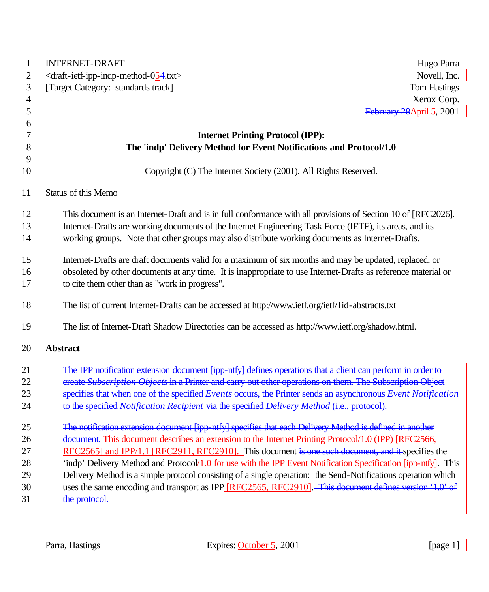| 1              | <b>INTERNET-DRAFT</b><br>Hugo Parra                                                                            |
|----------------|----------------------------------------------------------------------------------------------------------------|
| 2              | <draft-ietf-ipp-indp-method-054.txt><br/>Novell, Inc.</draft-ietf-ipp-indp-method-054.txt>                     |
| 3              | [Target Category: standards track]<br><b>Tom Hastings</b>                                                      |
| $\overline{4}$ | Xerox Corp.                                                                                                    |
| 5              | February 28 April 5, 2001                                                                                      |
| 6              |                                                                                                                |
| 7              | <b>Internet Printing Protocol (IPP):</b>                                                                       |
| 8              | The 'indp' Delivery Method for Event Notifications and Protocol/1.0                                            |
| 9              |                                                                                                                |
| 10             | Copyright (C) The Internet Society (2001). All Rights Reserved.                                                |
| 11             | Status of this Memo                                                                                            |
| 12             | This document is an Internet-Draft and is in full conformance with all provisions of Section 10 of [RFC2026].  |
| 13             | Internet-Drafts are working documents of the Internet Engineering Task Force (IETF), its areas, and its        |
| 14             | working groups. Note that other groups may also distribute working documents as Internet-Drafts.               |
| 15             | Internet-Drafts are draft documents valid for a maximum of six months and may be updated, replaced, or         |
| 16             | obsoleted by other documents at any time. It is inappropriate to use Internet-Drafts as reference material or  |
| 17             | to cite them other than as "work in progress".                                                                 |
| 18             | The list of current Internet-Drafts can be accessed at http://www.ietf.org/ietf/1id-abstracts.txt              |
| 19             | The list of Internet-Draft Shadow Directories can be accessed as http://www.ietf.org/shadow.html.              |
| 20             | <b>Abstract</b>                                                                                                |
| 21             | The IPP notification extension document [ipp_ntfy] defines operations that a client can perform in             |
| 22             | ereate Subscription Objects in a Printer and carry out other operations on them. The Subscription Obj          |
| 23             | specifies that when one of the specified Events occurs, the Printer sends an asynchronous Event Notifi         |
| 24             | to the specified Notification Recipient via the specified Delivery Method (i.e., protocol).                    |
| 25             | The notification extension document [ipp-ntfy] specifies that each Delivery Method is defined in another       |
| 26             | document. This document describes an extension to the Internet Printing Protocol/1.0 (IPP) [RFC2566,           |
| 27             | RFC2565] and IPP/1.1 [RFC2911, RFC2910]. This document is one such document, and it specifies the              |
| 28             | 'indp' Delivery Method and Protocol/1.0 for use with the IPP Event Notification Specification [ipp-ntfy]. This |
| 29             | Delivery Method is a simple protocol consisting of a single operation: the Send-Notifications operation which  |
| 30             | uses the same encoding and transport as IPP [RFC2565, RFC2910]. This document defines version '1.0' of         |
| 31             | the protocol.                                                                                                  |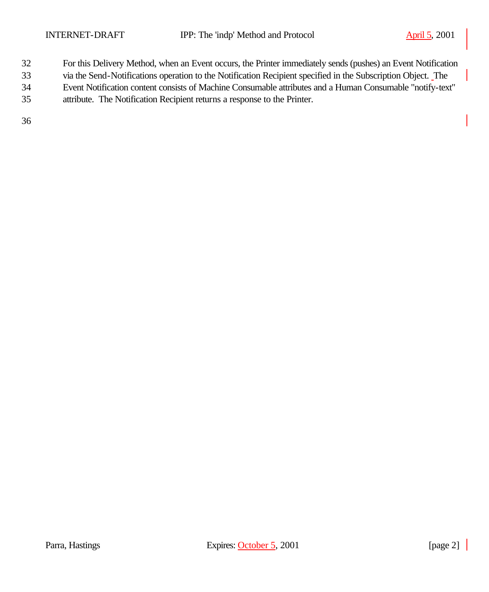- For this Delivery Method, when an Event occurs, the Printer immediately sends (pushes) an Event Notification
- via the Send-Notifications operation to the Notification Recipient specified in the Subscription Object. The
- Event Notification content consists of Machine Consumable attributes and a Human Consumable "notify-text"
- attribute. The Notification Recipient returns a response to the Printer.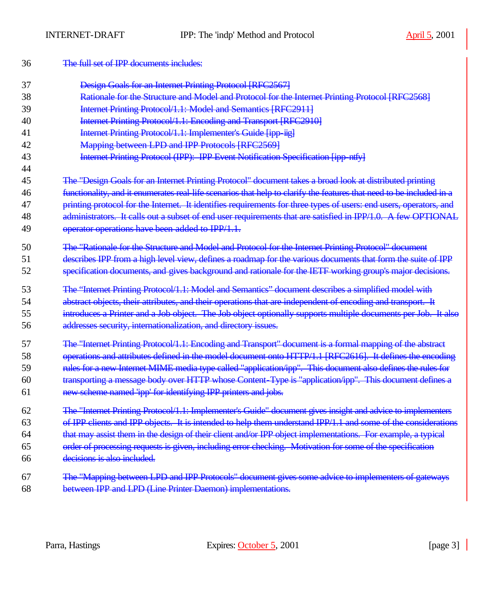| 36 | The full set of IPP documents includes:                                                                              |
|----|----------------------------------------------------------------------------------------------------------------------|
| 37 | Design Goals for an Internet Printing Protocol [RFC2567]                                                             |
| 38 | Rationale for the Structure and Model and Protocol for the Internet Printing Protocol [RFC2568]                      |
| 39 | Internet Printing Protocol/1.1: Model and Semantics [RFC2911]                                                        |
| 40 | Internet Printing Protocol/1.1: Encoding and Transport [RFC2910]                                                     |
| 41 | Internet Printing Protocol/1.1: Implementer's Guide [ipp-iig]                                                        |
| 42 | Mapping between LPD and IPP Protocols [RFC2569]                                                                      |
| 43 | Internet Printing Protocol (IPP): IPP Event Notification Specification [ipp ntfy]                                    |
| 44 |                                                                                                                      |
| 45 | The "Design Goals for an Internet Printing Protocol" document takes a broad look at distributed printing             |
| 46 | functionality, and it enumerates real-life scenarios that help to clarify the features that need to be included in a |
| 47 | printing protocol for the Internet. It identifies requirements for three types of users: end users, operators, and   |
| 48 | administrators. It calls out a subset of end user requirements that are satisfied in IPP/1.0. A few OPTIONAL         |
| 49 | operator operations have been added to IPP/1.1.                                                                      |
| 50 | The "Rationale for the Structure and Model and Protocol for the Internet Printing Protocol" document                 |
| 51 | describes IPP from a high level view, defines a roadmap for the various documents that form the suite of IPP         |
| 52 | specification documents, and gives background and rationale for the IETF working group's major decisions.            |
| 53 | The "Internet Printing Protocol/1.1: Model and Semantics" document describes a simplified model with                 |
| 54 | abstract objects, their attributes, and their operations that are independent of encoding and transport. It          |
| 55 | introduces a Printer and a Job object. The Job object optionally supports multiple documents per Job. It also        |
| 56 | addresses security, internationalization, and directory issues.                                                      |
| 57 | The "Internet Printing Protocol/1.1: Encoding and Transport" document is a formal mapping of the abstract            |
| 58 | operations and attributes defined in the model document onto HTTP/1.1 [RFC2616]. It defines the encoding             |
| 59 | rules for a new Internet MIME media type called "application/ipp". This document also defines the rules for          |
| 60 | transporting a message body over HTTP whose Content-Type is "application/ipp". This document defines a               |
| 61 | new scheme named 'ipp' for identifying IPP printers and jobs.                                                        |
| 62 | The "Internet Printing Protocol/1-1: Implementer's Guide" document gives insight and advice to implementers          |
| 63 | of IPP clients and IPP objects. It is intended to help them understand IPP/1.1 and some of the considerations        |
| 64 | that may assist them in the design of their client and/or IPP object implementations. For example, a typical         |
| 65 | order of processing requests is given, including error checking. Motivation for some of the specification            |
| 66 | decisions is also included.                                                                                          |
| 67 | The "Mapping between LPD and IPP Protocols" document gives some advice to implementers of gateways                   |
| 68 | between IPP and LPD (Line Printer Daemon) implementations.                                                           |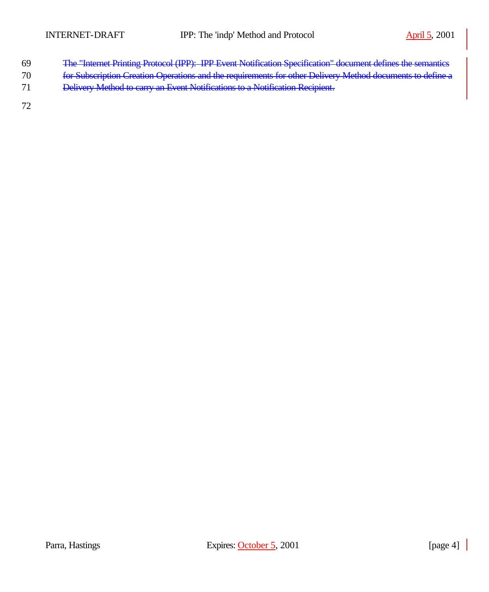- The "Internet Printing Protocol (IPP): IPP Event Notification Specification" document defines the semantics
- for Subscription Creation Operations and the requirements for other Delivery Method documents to define a
- Delivery Method to carry an Event Notifications to a Notification Recipient.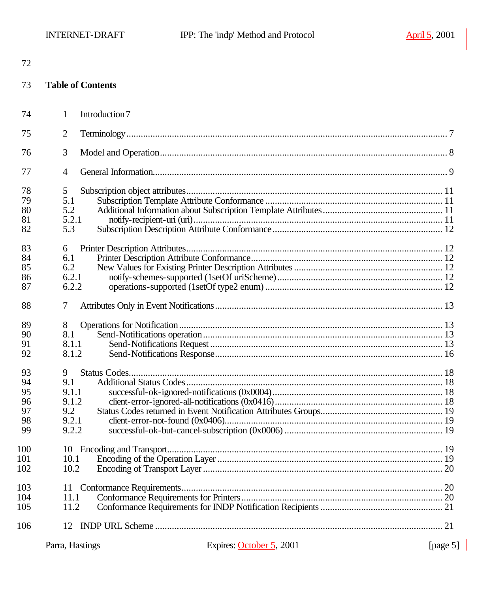| 72  |                          |                          |                  |
|-----|--------------------------|--------------------------|------------------|
| 73  | <b>Table of Contents</b> |                          |                  |
| 74  | Introduction 7<br>1      |                          |                  |
| 75  | $\overline{2}$           |                          |                  |
| 76  | 3                        |                          |                  |
| 77  | $\overline{4}$           |                          |                  |
| 78  | 5                        |                          |                  |
| 79  | 5.1                      |                          |                  |
| 80  | 5.2                      |                          |                  |
| 81  | 5.2.1                    |                          |                  |
| 82  | 5.3                      |                          |                  |
|     |                          |                          |                  |
| 83  | 6                        |                          |                  |
| 84  | 6.1                      |                          |                  |
| 85  | 6.2                      |                          |                  |
| 86  | 6.2.1                    |                          |                  |
| 87  | 6.2.2                    |                          |                  |
| 88  | 7                        |                          |                  |
| 89  | 8                        |                          |                  |
| 90  | 8.1                      |                          |                  |
| 91  | 8.1.1                    |                          |                  |
| 92  | 8.1.2                    |                          |                  |
| 93  | 9                        |                          |                  |
| 94  | 9.1                      |                          |                  |
| 95  | 9.1.1                    |                          |                  |
| 96  | 9.1.2                    |                          |                  |
| 97  | 9.2                      |                          |                  |
| 98  | 9.2.1                    |                          |                  |
| 99  | 9.2.2                    |                          |                  |
| 100 | 10                       |                          |                  |
| 101 | 10.1                     |                          |                  |
| 102 | 10.2                     |                          |                  |
| 103 | 11                       |                          |                  |
| 104 | 11.1                     |                          |                  |
| 105 | 11.2                     |                          |                  |
| 106 | 12                       |                          |                  |
|     | Parra, Hastings          | Expires: October 5, 2001 | [page 5] $\vert$ |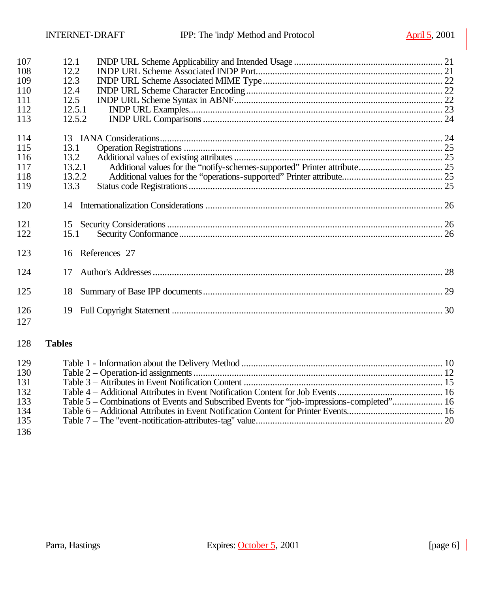| 107<br>108<br>109<br>110<br>111<br>112<br>113 | 12.1<br>12.2<br>12.3<br>12.4<br>12.5<br>12.5.1<br>12.5.2                                  |  |
|-----------------------------------------------|-------------------------------------------------------------------------------------------|--|
| 114<br>115<br>116<br>117<br>118<br>119        | 13.1<br>13.2<br>13.2.1<br>13.2.2<br>13.3                                                  |  |
| 120                                           |                                                                                           |  |
| 121<br>122                                    | 15.1                                                                                      |  |
| 123                                           | 16 References 27                                                                          |  |
| 124                                           | 17                                                                                        |  |
| 125                                           | 18                                                                                        |  |
| 126<br>127                                    | 19                                                                                        |  |
| 128                                           | <b>Tables</b>                                                                             |  |
| 129<br>130<br>131<br>132<br>133               | Table 5 - Combinations of Events and Subscribed Events for "job-impressions-completed" 16 |  |

 Table 6 – Additional Attributes in Event Notification Content for Printer Events........................................ 16 Table 7 – The "event-notification-attributes-tag" value.............................................................................. 20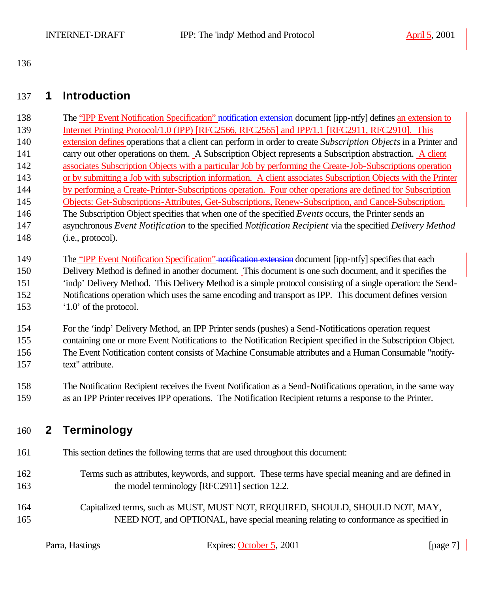## **1 Introduction**

138 The "IPP Event Notification Specification" notification extension-document [ipp-ntfy] defines an extension to Internet Printing Protocol/1.0 (IPP) [RFC2566, RFC2565] and IPP/1.1 [RFC2911, RFC2910]. This extension defines operations that a client can perform in order to create *Subscription Objects* in a Printer and carry out other operations on them. A Subscription Object represents a Subscription abstraction. A client associates Subscription Objects with a particular Job by performing the Create-Job-Subscriptions operation or by submitting a Job with subscription information. A client associates Subscription Objects with the Printer by performing a Create-Printer-Subscriptions operation. Four other operations are defined for Subscription Objects: Get-Subscriptions-Attributes, Get-Subscriptions, Renew-Subscription, and Cancel-Subscription. The Subscription Object specifies that when one of the specified *Events* occurs, the Printer sends an asynchronous *Event Notification* to the specified *Notification Recipient* via the specified *Delivery Method* 148 (i.e., protocol).

 For the 'indp' Delivery Method, an IPP Printer sends (pushes) a Send-Notifications operation request containing one or more Event Notifications to the Notification Recipient specified in the Subscription Object. The Event Notification content consists of Machine Consumable attributes and a Human Consumable "notify-text" attribute.

 The Notification Recipient receives the Event Notification as a Send-Notifications operation, in the same way as an IPP Printer receives IPP operations. The Notification Recipient returns a response to the Printer.

## **2 Terminology**

- This section defines the following terms that are used throughout this document:
- Terms such as attributes, keywords, and support. These terms have special meaning and are defined in 163 the model terminology [RFC2911] section 12.2.
- Capitalized terms, such as MUST, MUST NOT, REQUIRED, SHOULD, SHOULD NOT, MAY, NEED NOT, and OPTIONAL, have special meaning relating to conformance as specified in

<sup>149</sup> The "IPP Event Notification Specification" notification extension document [ipp-ntfy] specifies that each Delivery Method is defined in another document. This document is one such document, and it specifies the 'indp' Delivery Method. This Delivery Method is a simple protocol consisting of a single operation: the Send- Notifications operation which uses the same encoding and transport as IPP. This document defines version '1.0' of the protocol.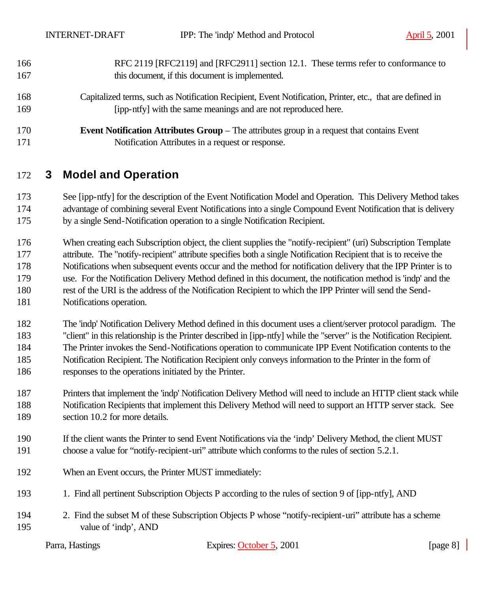| 166 | RFC 2119 [RFC2119] and [RFC2911] section 12.1. These terms refer to conformance to                        |
|-----|-----------------------------------------------------------------------------------------------------------|
| 167 | this document, if this document is implemented.                                                           |
| 168 | Capitalized terms, such as Notification Recipient, Event Notification, Printer, etc., that are defined in |
| 169 | [ipp-ntfy] with the same meanings and are not reproduced here.                                            |
| 170 | <b>Event Notification Attributes Group – The attributes group in a request that contains Event</b>        |
| 171 | Notification Attributes in a request or response.                                                         |

## **3 Model and Operation**

 See [ipp-ntfy] for the description of the Event Notification Model and Operation. This Delivery Method takes advantage of combining several Event Notifications into a single Compound Event Notification that is delivery by a single Send-Notification operation to a single Notification Recipient.

 When creating each Subscription object, the client supplies the "notify-recipient" (uri) Subscription Template attribute. The "notify-recipient" attribute specifies both a single Notification Recipient that is to receive the Notifications when subsequent events occur and the method for notification delivery that the IPP Printer is to use. For the Notification Delivery Method defined in this document, the notification method is 'indp' and the rest of the URI is the address of the Notification Recipient to which the IPP Printer will send the Send-Notifications operation.

 The 'indp' Notification Delivery Method defined in this document uses a client/server protocol paradigm. The "client" in this relationship is the Printer described in [ipp-ntfy] while the "server" is the Notification Recipient. The Printer invokes the Send-Notifications operation to communicate IPP Event Notification contents to the Notification Recipient. The Notification Recipient only conveys information to the Printer in the form of responses to the operations initiated by the Printer.

 Printers that implement the 'indp' Notification Delivery Method will need to include an HTTP client stack while Notification Recipients that implement this Delivery Method will need to support an HTTP server stack. See 189 section 10.2 for more details.

- If the client wants the Printer to send Event Notifications via the 'indp' Delivery Method, the client MUST choose a value for "notify-recipient-uri" attribute which conforms to the rules of section 5.2.1.
- When an Event occurs, the Printer MUST immediately:
- 1. Find all pertinent Subscription Objects P according to the rules of section 9 of [ipp-ntfy], AND
- 2. Find the subset M of these Subscription Objects P whose "notify-recipient-uri" attribute has a scheme value of 'indp', AND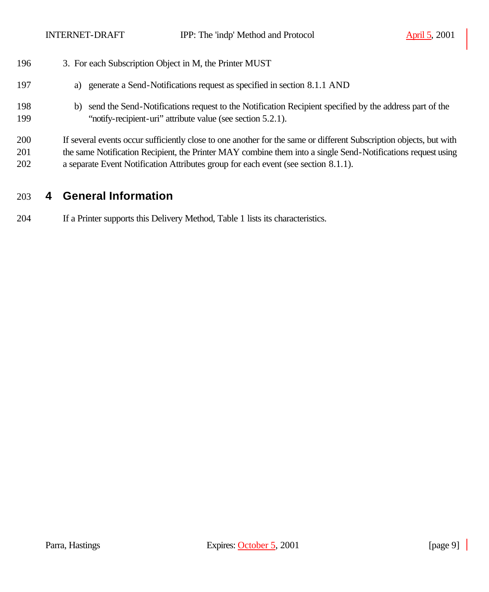| 196               | 3. For each Subscription Object in M, the Printer MUST                                                                                                                                                                                                                                                                   |
|-------------------|--------------------------------------------------------------------------------------------------------------------------------------------------------------------------------------------------------------------------------------------------------------------------------------------------------------------------|
| 197               | a) generate a Send-Notifications request as specified in section 8.1.1 AND                                                                                                                                                                                                                                               |
| 198<br>199        | send the Send-Notifications request to the Notification Recipient specified by the address part of the<br>b)<br>"notify-recipient-uri" attribute value (see section 5.2.1).                                                                                                                                              |
| 200<br>201<br>202 | If several events occur sufficiently close to one another for the same or different Subscription objects, but with<br>the same Notification Recipient, the Printer MAY combine them into a single Send-Notifications request using<br>a separate Event Notification Attributes group for each event (see section 8.1.1). |

# **4 General Information**

If a Printer supports this Delivery Method, Table 1 lists its characteristics.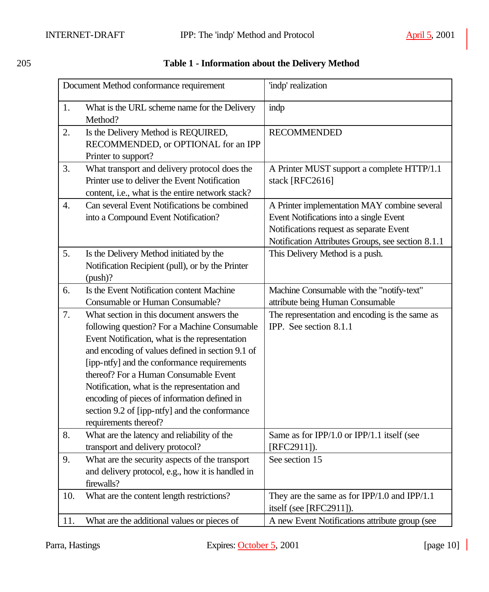|                  | Document Method conformance requirement                                                                                                                                                                                                                                                                                                                                                                                                                                                                          | 'indp' realization                                                                                                                                                                      |  |
|------------------|------------------------------------------------------------------------------------------------------------------------------------------------------------------------------------------------------------------------------------------------------------------------------------------------------------------------------------------------------------------------------------------------------------------------------------------------------------------------------------------------------------------|-----------------------------------------------------------------------------------------------------------------------------------------------------------------------------------------|--|
| 1.               | What is the URL scheme name for the Delivery<br>Method?                                                                                                                                                                                                                                                                                                                                                                                                                                                          | indp                                                                                                                                                                                    |  |
| 2.               | Is the Delivery Method is REQUIRED,<br>RECOMMENDED, or OPTIONAL for an IPP<br>Printer to support?                                                                                                                                                                                                                                                                                                                                                                                                                | <b>RECOMMENDED</b>                                                                                                                                                                      |  |
| 3.               | What transport and delivery protocol does the<br>Printer use to deliver the Event Notification<br>content, i.e., what is the entire network stack?                                                                                                                                                                                                                                                                                                                                                               | A Printer MUST support a complete HTTP/1.1<br>stack [RFC2616]                                                                                                                           |  |
| $\overline{4}$ . | Can several Event Notifications be combined<br>into a Compound Event Notification?                                                                                                                                                                                                                                                                                                                                                                                                                               | A Printer implementation MAY combine several<br>Event Notifications into a single Event<br>Notifications request as separate Event<br>Notification Attributes Groups, see section 8.1.1 |  |
| 5.               | Is the Delivery Method initiated by the<br>Notification Recipient (pull), or by the Printer<br>$(push)$ ?                                                                                                                                                                                                                                                                                                                                                                                                        | This Delivery Method is a push.                                                                                                                                                         |  |
| 6.               | Is the Event Notification content Machine                                                                                                                                                                                                                                                                                                                                                                                                                                                                        | Machine Consumable with the "notify-text"                                                                                                                                               |  |
|                  | <b>Consumable or Human Consumable?</b>                                                                                                                                                                                                                                                                                                                                                                                                                                                                           | attribute being Human Consumable                                                                                                                                                        |  |
| 7.<br>8.         | What section in this document answers the<br>following question? For a Machine Consumable<br>Event Notification, what is the representation<br>and encoding of values defined in section 9.1 of<br>[ipp-ntfy] and the conformance requirements<br>thereof? For a Human Consumable Event<br>Notification, what is the representation and<br>encoding of pieces of information defined in<br>section 9.2 of [ipp-ntfy] and the conformance<br>requirements thereof?<br>What are the latency and reliability of the | The representation and encoding is the same as<br>IPP. See section 8.1.1<br>Same as for IPP/1.0 or IPP/1.1 itself (see                                                                  |  |
|                  | transport and delivery protocol?                                                                                                                                                                                                                                                                                                                                                                                                                                                                                 | [RFC2911]).                                                                                                                                                                             |  |
| 9.               | What are the security aspects of the transport<br>and delivery protocol, e.g., how it is handled in<br>firewalls?                                                                                                                                                                                                                                                                                                                                                                                                | See section 15                                                                                                                                                                          |  |
| 10.              | What are the content length restrictions?                                                                                                                                                                                                                                                                                                                                                                                                                                                                        | They are the same as for $IPP/1.0$ and $IPP/1.1$<br>itself (see [RFC2911]).                                                                                                             |  |
| 11.              | What are the additional values or pieces of                                                                                                                                                                                                                                                                                                                                                                                                                                                                      | A new Event Notifications attribute group (see                                                                                                                                          |  |

## 205 **Table 1 - Information about the Delivery Method**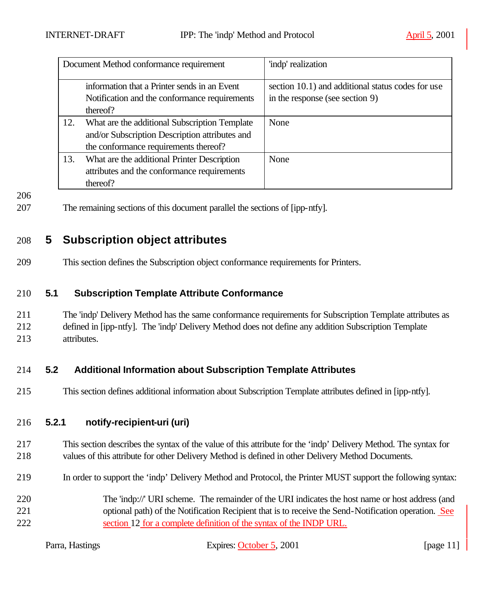| Document Method conformance requirement |                                                                                                                                          | 'indp' realization                                                                   |  |
|-----------------------------------------|------------------------------------------------------------------------------------------------------------------------------------------|--------------------------------------------------------------------------------------|--|
|                                         | information that a Printer sends in an Event<br>Notification and the conformance requirements<br>thereof?                                | section 10.1) and additional status codes for use<br>in the response (see section 9) |  |
| 12.                                     | What are the additional Subscription Template<br>and/or Subscription Description attributes and<br>the conformance requirements thereof? | None                                                                                 |  |
| 13.                                     | What are the additional Printer Description<br>attributes and the conformance requirements<br>thereof?                                   | None                                                                                 |  |

207 The remaining sections of this document parallel the sections of [ipp-ntfy].

## 208 **5 Subscription object attributes**

209 This section defines the Subscription object conformance requirements for Printers.

#### 210 **5.1 Subscription Template Attribute Conformance**

211 The 'indp' Delivery Method has the same conformance requirements for Subscription Template attributes as 212 defined in [ipp-ntfy]. The 'indp' Delivery Method does not define any addition Subscription Template 213 attributes.

### 214 **5.2 Additional Information about Subscription Template Attributes**

215 This section defines additional information about Subscription Template attributes defined in [ipp-ntfy].

#### 216 **5.2.1 notify-recipient-uri (uri)**

- 217 This section describes the syntax of the value of this attribute for the 'indp' Delivery Method. The syntax for 218 values of this attribute for other Delivery Method is defined in other Delivery Method Documents.
- 219 In order to support the 'indp' Delivery Method and Protocol, the Printer MUST support the following syntax:
- 220 The 'indp://' URI scheme. The remainder of the URI indicates the host name or host address (and 221 optional path) of the Notification Recipient that is to receive the Send-Notification operation. See 222 section 12 for a complete definition of the syntax of the INDP URL.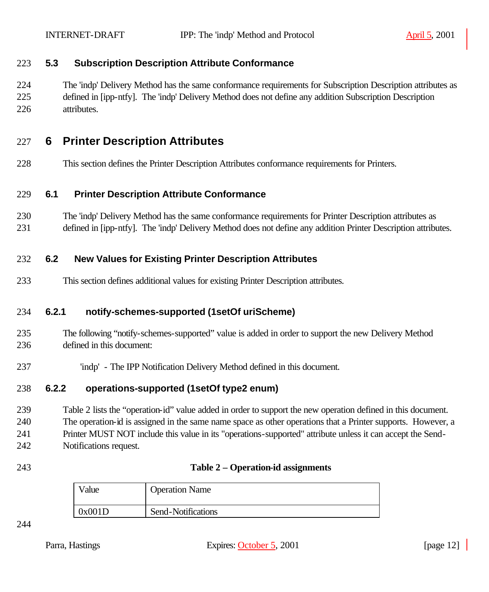#### **5.3 Subscription Description Attribute Conformance**

 The 'indp' Delivery Method has the same conformance requirements for Subscription Description attributes as defined in [ipp-ntfy]. The 'indp' Delivery Method does not define any addition Subscription Description attributes.

## **6 Printer Description Attributes**

This section defines the Printer Description Attributes conformance requirements for Printers.

#### **6.1 Printer Description Attribute Conformance**

- The 'indp' Delivery Method has the same conformance requirements for Printer Description attributes as
- defined in [ipp-ntfy]. The 'indp' Delivery Method does not define any addition Printer Description attributes.

### **6.2 New Values for Existing Printer Description Attributes**

This section defines additional values for existing Printer Description attributes.

### **6.2.1 notify-schemes-supported (1setOf uriScheme)**

- The following "notify-schemes-supported" value is added in order to support the new Delivery Method defined in this document:
- 'indp' The IPP Notification Delivery Method defined in this document.

#### **6.2.2 operations-supported (1setOf type2 enum)**

 Table 2 lists the "operation-id" value added in order to support the new operation defined in this document. The operation-id is assigned in the same name space as other operations that a Printer supports. However, a Printer MUST NOT include this value in its "operations-supported" attribute unless it can accept the Send-Notifications request.

#### **Table 2 – Operation-id assignments**

| Value  | <b>Operation Name</b> |
|--------|-----------------------|
| 0x001D | Send-Notifications    |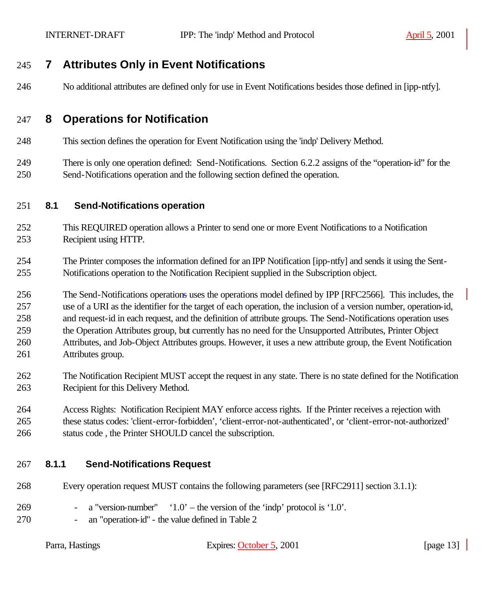## **7 Attributes Only in Event Notifications**

No additional attributes are defined only for use in Event Notifications besides those defined in [ipp-ntfy].

## **8 Operations for Notification**

This section defines the operation for Event Notification using the 'indp' Delivery Method.

 There is only one operation defined: Send-Notifications. Section 6.2.2 assigns of the "operation-id" for the Send-Notifications operation and the following section defined the operation.

#### **8.1 Send-Notifications operation**

- This REQUIRED operation allows a Printer to send one or more Event Notifications to a Notification Recipient using HTTP.
- The Printer composes the information defined for an IPP Notification [ipp-ntfy] and sends it using the Sent-Notifications operation to the Notification Recipient supplied in the Subscription object.
- The Send-Notifications operations uses the operations model defined by IPP [RFC2566]. This includes, the use of a URI as the identifier for the target of each operation, the inclusion of a version number, operation-id, and request-id in each request, and the definition of attribute groups. The Send-Notifications operation uses the Operation Attributes group, but currently has no need for the Unsupported Attributes, Printer Object
- Attributes, and Job-Object Attributes groups. However, it uses a new attribute group, the Event Notification Attributes group.
- The Notification Recipient MUST accept the request in any state. There is no state defined for the Notification Recipient for this Delivery Method.
- Access Rights: Notification Recipient MAY enforce access rights. If the Printer receives a rejection with these status codes: 'client-error-forbidden', 'client-error-not-authenticated', or 'client-error-not-authorized' status code , the Printer SHOULD cancel the subscription.

### **8.1.1 Send-Notifications Request**

- Every operation request MUST contains the following parameters (see [RFC2911] section 3.1.1):
- 269 a "version-number"  $1.0'$  the version of the 'indp' protocol is '1.0'.
- an "operation-id" the value defined in Table 2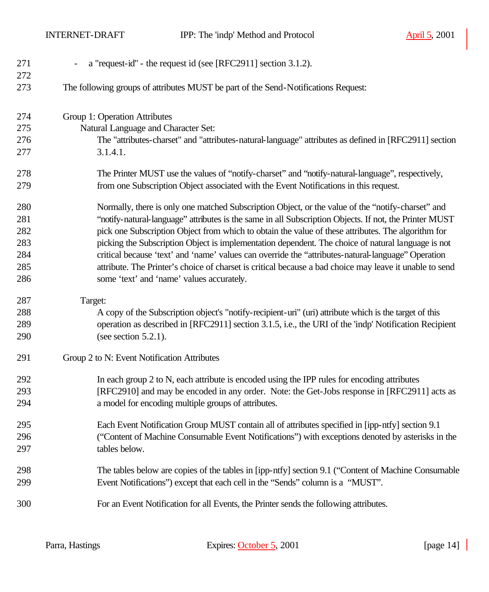INTERNET-DRAFT IPP: The 'indp' Method and Protocol April 5, 2001

| 271<br>272 | a "request-id" - the request id (see [RFC2911] section 3.1.2).<br>$\qquad \qquad -$                     |
|------------|---------------------------------------------------------------------------------------------------------|
| 273        | The following groups of attributes MUST be part of the Send-Notifications Request:                      |
| 274        | Group 1: Operation Attributes                                                                           |
| 275        | Natural Language and Character Set:                                                                     |
| 276        | The "attributes-charset" and "attributes-natural-language" attributes as defined in [RFC2911] section   |
| 277        | 3.1.4.1.                                                                                                |
| 278        | The Printer MUST use the values of "notify-charset" and "notify-natural-language", respectively,        |
| 279        | from one Subscription Object associated with the Event Notifications in this request.                   |
| 280        | Normally, there is only one matched Subscription Object, or the value of the "notify-charset" and       |
| 281        | "notify-natural-language" attributes is the same in all Subscription Objects. If not, the Printer MUST  |
| 282        | pick one Subscription Object from which to obtain the value of these attributes. The algorithm for      |
| 283        | picking the Subscription Object is implementation dependent. The choice of natural language is not      |
| 284        | critical because 'text' and 'name' values can override the "attributes-natural-language" Operation      |
| 285        | attribute. The Printer's choice of charset is critical because a bad choice may leave it unable to send |
| 286        | some 'text' and 'name' values accurately.                                                               |
| 287        | Target:                                                                                                 |
| 288        | A copy of the Subscription object's "notify-recipient-uri" (uri) attribute which is the target of this  |
| 289        | operation as described in [RFC2911] section 3.1.5, i.e., the URI of the 'indp' Notification Recipient   |
| 290        | (see section $5.2.1$ ).                                                                                 |
| 291        | Group 2 to N: Event Notification Attributes                                                             |
| 292        | In each group 2 to N, each attribute is encoded using the IPP rules for encoding attributes             |
| 293        | [RFC2910] and may be encoded in any order. Note: the Get-Jobs response in [RFC2911] acts as             |
| 294        | a model for encoding multiple groups of attributes.                                                     |
| 295        | Each Event Notification Group MUST contain all of attributes specified in [ipp-ntfy] section 9.1        |
| 296        | ("Content of Machine Consumable Event Notifications") with exceptions denoted by asterisks in the       |
| 297        | tables below.                                                                                           |
| 298        | The tables below are copies of the tables in [ipp-ntfy] section 9.1 ("Content of Machine Consumable     |
| 299        | Event Notifications") except that each cell in the "Sends" column is a "MUST".                          |
| 300        | For an Event Notification for all Events, the Printer sends the following attributes.                   |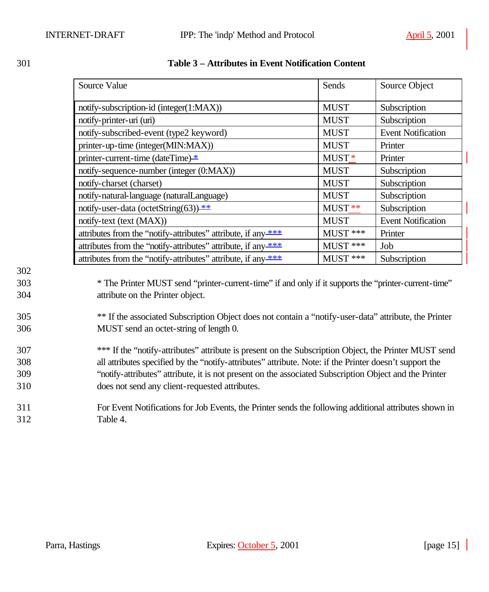|     | Source Value                                                                                            | Sends       | Source Object             |
|-----|---------------------------------------------------------------------------------------------------------|-------------|---------------------------|
|     | notify-subscription-id (integer(1:MAX))                                                                 | <b>MUST</b> | Subscription              |
|     | notify-printer-uri (uri)                                                                                | <b>MUST</b> | Subscription              |
|     | notify-subscribed-event (type2 keyword)                                                                 | <b>MUST</b> | <b>Event Notification</b> |
|     | printer-up-time (integer(MIN:MAX))                                                                      | <b>MUST</b> | Printer                   |
|     | printer-current-time (dateTime) *                                                                       | MUST*       | Printer                   |
|     | notify-sequence-number (integer (0:MAX))                                                                | <b>MUST</b> | Subscription              |
|     | notify-charset (charset)                                                                                | <b>MUST</b> | Subscription              |
|     | notify-natural-language (naturalLanguage)                                                               | <b>MUST</b> | Subscription              |
|     | notify-user-data (octetString(63)) **                                                                   | MUST **     | Subscription              |
|     | notify-text (text (MAX))                                                                                | <b>MUST</b> | <b>Event Notification</b> |
|     | attributes from the "notify-attributes" attribute, if any ***                                           | MUST ***    | Printer                   |
|     | attributes from the "notify-attributes" attribute, if any ***                                           | MUST ***    | Job                       |
|     | attributes from the "notify-attributes" attribute, if any ***                                           | MUST ***    | Subscription              |
| 302 |                                                                                                         |             |                           |
| 303 | * The Printer MUST send "printer-current-time" if and only if it supports the "printer-current-time"    |             |                           |
| 304 | attribute on the Printer object.                                                                        |             |                           |
| 305 | ** If the associated Subscription Object does not contain a "notify-user-data" attribute, the Printer   |             |                           |
| 306 | MUST send an octet-string of length 0.                                                                  |             |                           |
| 307 | *** If the "notify-attributes" attribute is present on the Subscription Object, the Printer MUST send   |             |                           |
| 308 | all attributes specified by the "notify-attributes" attribute. Note: if the Printer doesn't support the |             |                           |
| 309 | "notify-attributes" attribute, it is not present on the associated Subscription Object and the Printer  |             |                           |
| 310 | does not send any client-requested attributes.                                                          |             |                           |
| 311 | For Event Notifications for Job Events, the Printer sends the following additional attributes shown in  |             |                           |

#### 301 **Table 3 – Attributes in Event Notification Content**

311 For Event Notifications for Job Events, the Printer sends the following additional attributes shown in 312 Table 4.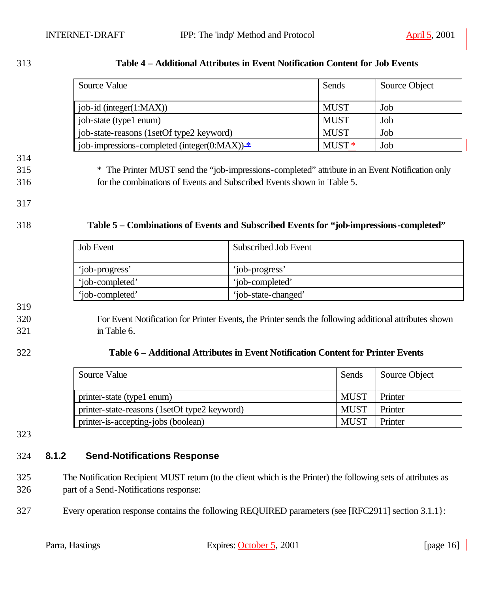| 313 | Table 4 – Additional Attributes in Event Notification Content for Job Events |
|-----|------------------------------------------------------------------------------|
|-----|------------------------------------------------------------------------------|

| Source Value                                   | Sends             | Source Object |
|------------------------------------------------|-------------------|---------------|
| job-id (integer $(1:MAX)$ )                    | <b>MUST</b>       | Job           |
| job-state (type1 enum)                         | <b>MUST</b>       | Job           |
| job-state-reasons (1setOf type2 keyword)       | <b>MUST</b>       | Job           |
| job-impressions-completed (integer(0:MAX)) $*$ | MUST <sup>*</sup> | Job           |

315 \* The Printer MUST send the "job-impressions-completed" attribute in an Event Notification only 316 for the combinations of Events and Subscribed Events shown in Table 5.

- 317
- 

#### 318 **Table 5 – Combinations of Events and Subscribed Events for "job-impressions-completed"**

| <b>Job Event</b> | Subscribed Job Event |
|------------------|----------------------|
| 'job-progress'   | 'job-progress'       |
| 'iob-completed'  | 'iob-completed'      |
| 'job-completed'  | 'job-state-changed'  |

319

### 320 For Event Notification for Printer Events, the Printer sends the following additional attributes shown 321 in Table 6.

#### 322 **Table 6 – Additional Attributes in Event Notification Content for Printer Events**

| Source Value                                 | Sends       | Source Object |
|----------------------------------------------|-------------|---------------|
| printer-state (type1 enum)                   | MUST        | Printer       |
| printer-state-reasons (1setOf type2 keyword) | <b>MUST</b> | Printer       |
| printer-is-accepting-jobs (boolean)          | <b>MUST</b> | Printer       |

323

#### 324 **8.1.2 Send-Notifications Response**

- 325 The Notification Recipient MUST return (to the client which is the Printer) the following sets of attributes as 326 part of a Send-Notifications response:
- 327 Every operation response contains the following REQUIRED parameters (see [RFC2911] section 3.1.1}: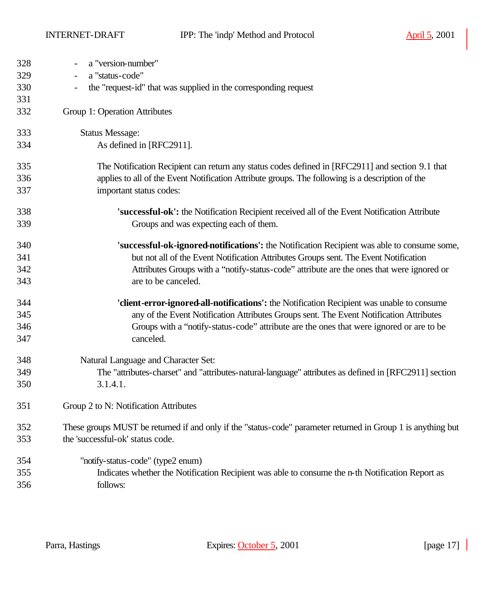INTERNET-DRAFT IPP: The 'indp' Method and Protocol April 5, 2001

| 328<br>329<br>330<br>331 | a "version-number"<br>a "status-code"<br>$\overline{\phantom{a}}$<br>the "request-id" that was supplied in the corresponding request |
|--------------------------|--------------------------------------------------------------------------------------------------------------------------------------|
| 332                      | Group 1: Operation Attributes                                                                                                        |
| 333                      | <b>Status Message:</b>                                                                                                               |
| 334                      | As defined in [RFC2911].                                                                                                             |
| 335                      | The Notification Recipient can return any status codes defined in [RFC2911] and section 9.1 that                                     |
| 336                      | applies to all of the Event Notification Attribute groups. The following is a description of the                                     |
| 337                      | important status codes:                                                                                                              |
| 338                      | 'successful-ok': the Notification Recipient received all of the Event Notification Attribute                                         |
| 339                      | Groups and was expecting each of them.                                                                                               |
| 340                      | 'successful-ok-ignored-notifications': the Notification Recipient was able to consume some,                                          |
| 341                      | but not all of the Event Notification Attributes Groups sent. The Event Notification                                                 |
| 342                      | Attributes Groups with a "notify-status-code" attribute are the ones that were ignored or                                            |
| 343                      | are to be canceled.                                                                                                                  |
| 344                      | 'client-error-ignored-all-notifications': the Notification Recipient was unable to consume                                           |
| 345                      | any of the Event Notification Attributes Groups sent. The Event Notification Attributes                                              |
| 346                      | Groups with a "notify-status-code" attribute are the ones that were ignored or are to be                                             |
| 347                      | canceled.                                                                                                                            |
| 348                      | Natural Language and Character Set:                                                                                                  |
| 349                      | The "attributes-charset" and "attributes-natural-language" attributes as defined in [RFC2911] section                                |
| 350                      | 3.1.4.1.                                                                                                                             |
| 351                      | Group 2 to N: Notification Attributes                                                                                                |
| 352                      | These groups MUST be returned if and only if the "status-code" parameter returned in Group 1 is anything but                         |
| 353                      | the 'successful-ok' status code.                                                                                                     |
| 354                      | "notify-status-code" (type2 enum)                                                                                                    |
| 355                      | Indicates whether the Notification Recipient was able to consume the n-th Notification Report as                                     |
| 356                      | follows:                                                                                                                             |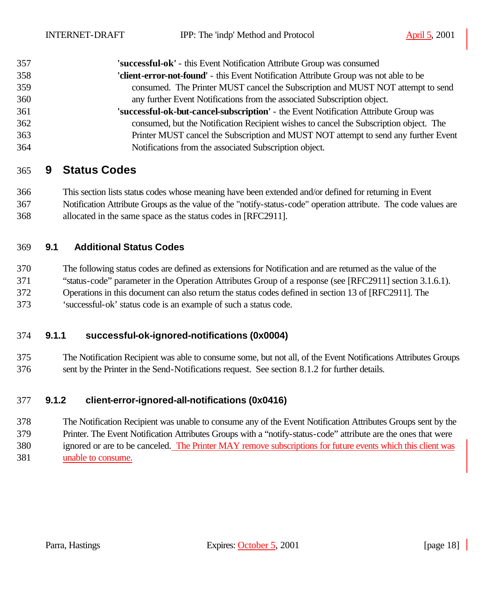| 357 | 'successful-ok' - this Event Notification Attribute Group was consumed                 |
|-----|----------------------------------------------------------------------------------------|
| 358 | 'client-error-not-found' - this Event Notification Attribute Group was not able to be  |
| 359 | consumed. The Printer MUST cancel the Subscription and MUST NOT attempt to send        |
| 360 | any further Event Notifications from the associated Subscription object.               |
| 361 | 'successful-ok-but-cancel-subscription' - the Event Notification Attribute Group was   |
| 362 | consumed, but the Notification Recipient wishes to cancel the Subscription object. The |
| 363 | Printer MUST cancel the Subscription and MUST NOT attempt to send any further Event    |
| 364 | Notifications from the associated Subscription object.                                 |

## **9 Status Codes**

 This section lists status codes whose meaning have been extended and/or defined for returning in Event Notification Attribute Groups as the value of the "notify-status-code" operation attribute. The code values are allocated in the same space as the status codes in [RFC2911].

#### **9.1 Additional Status Codes**

The following status codes are defined as extensions for Notification and are returned as the value of the

"status-code" parameter in the Operation Attributes Group of a response (see [RFC2911] section 3.1.6.1).

Operations in this document can also return the status codes defined in section 13 of [RFC2911]. The

'successful-ok' status code is an example of such a status code.

#### **9.1.1 successful-ok-ignored-notifications (0x0004)**

 The Notification Recipient was able to consume some, but not all, of the Event Notifications Attributes Groups sent by the Printer in the Send-Notifications request. See section 8.1.2 for further details.

#### **9.1.2 client-error-ignored-all-notifications (0x0416)**

 The Notification Recipient was unable to consume any of the Event Notification Attributes Groups sent by the Printer. The Event Notification Attributes Groups with a "notify-status-code" attribute are the ones that were ignored or are to be canceled. The Printer MAY remove subscriptions for future events which this client was unable to consume.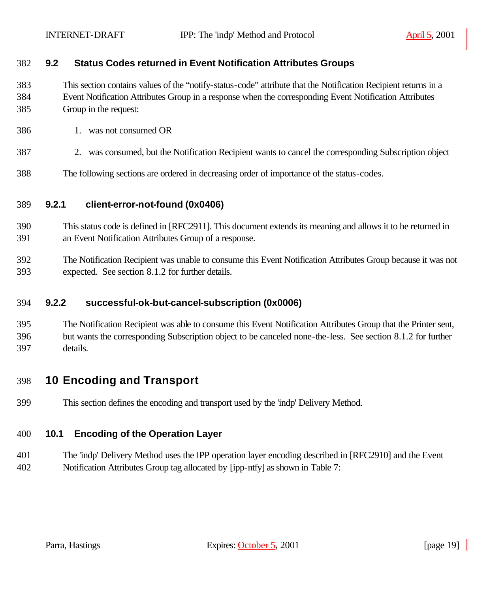#### **9.2 Status Codes returned in Event Notification Attributes Groups**

 This section contains values of the "notify-status-code" attribute that the Notification Recipient returns in a Event Notification Attributes Group in a response when the corresponding Event Notification Attributes Group in the request:

- 1. was not consumed OR
- 2. was consumed, but the Notification Recipient wants to cancel the corresponding Subscription object
- The following sections are ordered in decreasing order of importance of the status-codes.

#### **9.2.1 client-error-not-found (0x0406)**

- This status code is defined in [RFC2911]. This document extends its meaning and allows it to be returned in an Event Notification Attributes Group of a response.
- The Notification Recipient was unable to consume this Event Notification Attributes Group because it was not expected. See section 8.1.2 for further details.

#### **9.2.2 successful-ok-but-cancel-subscription (0x0006)**

 The Notification Recipient was able to consume this Event Notification Attributes Group that the Printer sent, but wants the corresponding Subscription object to be canceled none-the-less. See section 8.1.2 for further details.

## **10 Encoding and Transport**

This section defines the encoding and transport used by the 'indp' Delivery Method.

### **10.1 Encoding of the Operation Layer**

 The 'indp' Delivery Method uses the IPP operation layer encoding described in [RFC2910] and the Event Notification Attributes Group tag allocated by [ipp-ntfy] as shown in Table 7: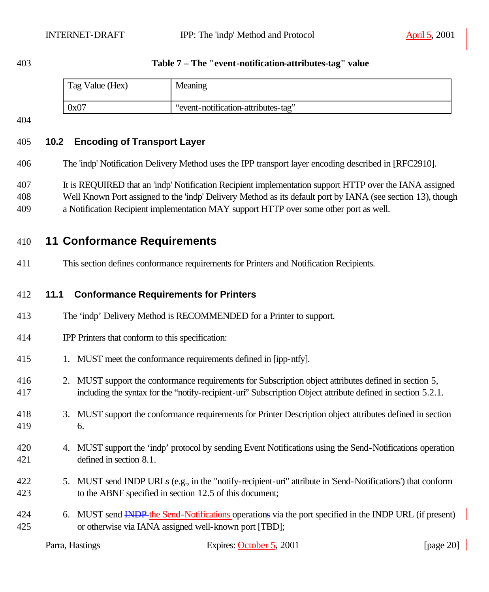#### **Table 7 – The "event-notification-attributes-tag" value**

| Tag Value (Hex) | Meaning                             |
|-----------------|-------------------------------------|
| 0x07            | "event-notification-attributes-tag" |

## **10.2 Encoding of Transport Layer**

The 'indp' Notification Delivery Method uses the IPP transport layer encoding described in [RFC2910].

It is REQUIRED that an 'indp' Notification Recipient implementation support HTTP over the IANA assigned

- Well Known Port assigned to the 'indp' Delivery Method as its default port by IANA (see section 13), though
- a Notification Recipient implementation MAY support HTTP over some other port as well.

## **11 Conformance Requirements**

This section defines conformance requirements for Printers and Notification Recipients.

#### **11.1 Conformance Requirements for Printers**

- The 'indp' Delivery Method is RECOMMENDED for a Printer to support.
- IPP Printers that conform to this specification:
- 1. MUST meet the conformance requirements defined in [ipp-ntfy].
- 2. MUST support the conformance requirements for Subscription object attributes defined in section 5, including the syntax for the "notify-recipient-uri" Subscription Object attribute defined in section 5.2.1.
- 3. MUST support the conformance requirements for Printer Description object attributes defined in section 6.
- 4. MUST support the 'indp' protocol by sending Event Notifications using the Send-Notifications operation defined in section 8.1.
- 5. MUST send INDP URLs (e.g., in the "notify-recipient-uri" attribute in 'Send-Notifications') that conform to the ABNF specified in section 12.5 of this document;
- 424 6. MUST send INDP the Send-Notifications operations via the port specified in the INDP URL (if present) or otherwise via IANA assigned well-known port [TBD];

| Parra, Hastings | Expires: October 5, 2001 | [page 20] |
|-----------------|--------------------------|-----------|
|                 |                          |           |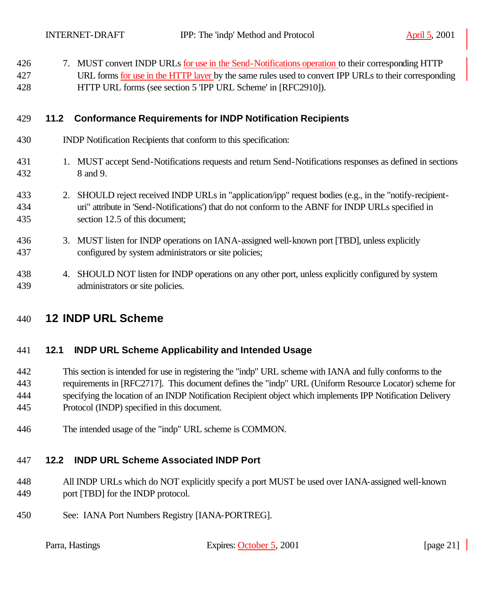| 426<br>427<br>428 |      | 7. MUST convert INDP URLs for use in the Send-Notifications operation to their corresponding HTTP<br>URL forms for use in the HTTP layer by the same rules used to convert IPP URLs to their corresponding<br>HTTP URL forms (see section 5 'IPP URL Scheme' in [RFC2910]). |
|-------------------|------|-----------------------------------------------------------------------------------------------------------------------------------------------------------------------------------------------------------------------------------------------------------------------------|
| 429               | 11.2 | <b>Conformance Requirements for INDP Notification Recipients</b>                                                                                                                                                                                                            |
| 430               |      | INDP Notification Recipients that conform to this specification:                                                                                                                                                                                                            |
| 431<br>432        |      | 1. MUST accept Send-Notifications requests and return Send-Notifications responses as defined in sections<br>8 and 9.                                                                                                                                                       |
| 433<br>434<br>435 |      | 2. SHOULD reject received INDP URLs in "application/ipp" request bodies (e.g., in the "notify-recipient-<br>uri" attribute in 'Send-Notifications') that do not conform to the ABNF for INDP URLs specified in<br>section 12.5 of this document;                            |
| 436<br>437        |      | 3. MUST listen for INDP operations on IANA-assigned well-known port [TBD], unless explicitly<br>configured by system administrators or site policies;                                                                                                                       |
| 438<br>439        |      | 4. SHOULD NOT listen for INDP operations on any other port, unless explicitly configured by system<br>administrators or site policies.                                                                                                                                      |

## **12 INDP URL Scheme**

### **12.1 INDP URL Scheme Applicability and Intended Usage**

 This section is intended for use in registering the "indp" URL scheme with IANA and fully conforms to the requirements in [RFC2717]. This document defines the "indp" URL (Uniform Resource Locator) scheme for specifying the location of an INDP Notification Recipient object which implements IPP Notification Delivery Protocol (INDP) specified in this document.

The intended usage of the "indp" URL scheme is COMMON.

## **12.2 INDP URL Scheme Associated INDP Port**

- All INDP URLs which do NOT explicitly specify a port MUST be used over IANA-assigned well-known 449 port [TBD] for the INDP protocol.
- See: IANA Port Numbers Registry [IANA-PORTREG].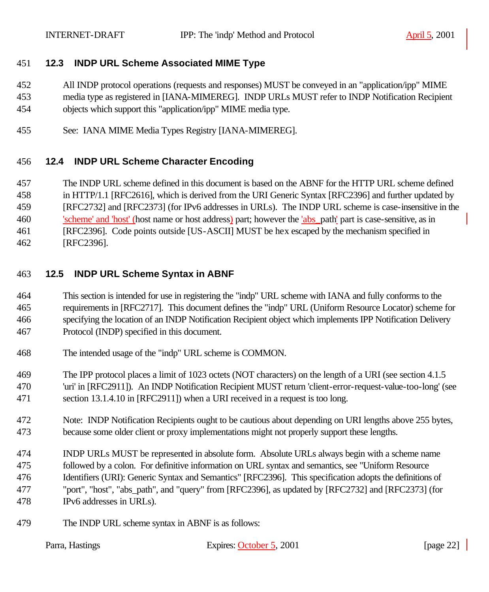### **12.3 INDP URL Scheme Associated MIME Type**

- All INDP protocol operations (requests and responses) MUST be conveyed in an "application/ipp" MIME
- media type as registered in [IANA-MIMEREG]. INDP URLs MUST refer to INDP Notification Recipient
- objects which support this "application/ipp" MIME media type.
- See: IANA MIME Media Types Registry [IANA-MIMEREG].

## **12.4 INDP URL Scheme Character Encoding**

- The INDP URL scheme defined in this document is based on the ABNF for the HTTP URL scheme defined
- in HTTP/1.1 [RFC2616], which is derived from the URI Generic Syntax [RFC2396] and further updated by
- [RFC2732] and [RFC2373] (for IPv6 addresses in URLs). The INDP URL scheme is case-insensitive in the
- 'scheme' and 'host' (host name or host address) part; however the 'abs\_path' part is case-sensitive, as in
- [RFC2396]. Code points outside [US-ASCII] MUST be hex escaped by the mechanism specified in
- [RFC2396].

## **12.5 INDP URL Scheme Syntax in ABNF**

- This section is intended for use in registering the "indp" URL scheme with IANA and fully conforms to the requirements in [RFC2717]. This document defines the "indp" URL (Uniform Resource Locator) scheme for specifying the location of an INDP Notification Recipient object which implements IPP Notification Delivery Protocol (INDP) specified in this document.
- The intended usage of the "indp" URL scheme is COMMON.
- The IPP protocol places a limit of 1023 octets (NOT characters) on the length of a URI (see section 4.1.5 'uri' in [RFC2911]). An INDP Notification Recipient MUST return 'client-error-request-value-too-long' (see section 13.1.4.10 in [RFC2911]) when a URI received in a request is too long.
- Note: INDP Notification Recipients ought to be cautious about depending on URI lengths above 255 bytes, because some older client or proxy implementations might not properly support these lengths.
- INDP URLs MUST be represented in absolute form. Absolute URLs always begin with a scheme name followed by a colon. For definitive information on URL syntax and semantics, see "Uniform Resource Identifiers (URI): Generic Syntax and Semantics" [RFC2396]. This specification adopts the definitions of "port", "host", "abs\_path", and "query" from [RFC2396], as updated by [RFC2732] and [RFC2373] (for IPv6 addresses in URLs).
- The INDP URL scheme syntax in ABNF is as follows:

| Parra, Hastings | Expires: October 5, 2001 | [page $22$ ] |
|-----------------|--------------------------|--------------|
|                 |                          |              |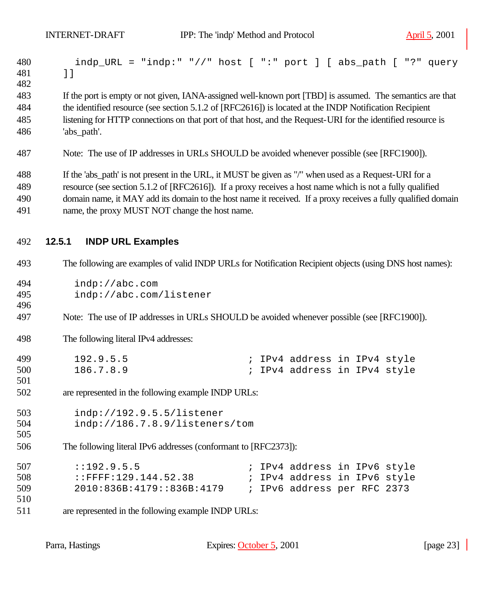| 480<br>481<br>482 | $\lbrack$ $\lbrack$                                             | indp_URL = "indp:" "//" host [ ":" port ] [ abs_path [ "?" query                                              |
|-------------------|-----------------------------------------------------------------|---------------------------------------------------------------------------------------------------------------|
| 483               |                                                                 | If the port is empty or not given, IANA-assigned well-known port [TBD] is assumed. The semantics are that     |
| 484               |                                                                 | the identified resource (see section 5.1.2 of [RFC2616]) is located at the INDP Notification Recipient        |
| 485               |                                                                 | listening for HTTP connections on that port of that host, and the Request-URI for the identified resource is  |
| 486               | 'abs_path'.                                                     |                                                                                                               |
| 487               |                                                                 | Note: The use of IP addresses in URLs SHOULD be avoided whenever possible (see [RFC1900]).                    |
| 488               |                                                                 | If the 'abs_path' is not present in the URL, it MUST be given as "/" when used as a Request-URI for a         |
| 489               |                                                                 | resource (see section 5.1.2 of [RFC2616]). If a proxy receives a host name which is not a fully qualified     |
| 490               |                                                                 | domain name, it MAY add its domain to the host name it received. If a proxy receives a fully qualified domain |
| 491               | name, the proxy MUST NOT change the host name.                  |                                                                                                               |
| 492               | 12.5.1<br><b>INDP URL Examples</b>                              |                                                                                                               |
| 493               |                                                                 | The following are examples of valid INDP URLs for Notification Recipient objects (using DNS host names):      |
| 494               | indp://abc.com                                                  |                                                                                                               |
| 495               | indp://abc.com/listener                                         |                                                                                                               |
| 496               |                                                                 |                                                                                                               |
| 497               |                                                                 | Note: The use of IP addresses in URLs SHOULD be avoided whenever possible (see [RFC1900]).                    |
| 498               | The following literal IPv4 addresses:                           |                                                                                                               |
| 499               | 192.9.5.5                                                       | ; IPv4 address in IPv4 style                                                                                  |
| 500               | 186.7.8.9                                                       | ; IPv4 address in IPv4 style                                                                                  |
| 501               |                                                                 |                                                                                                               |
| 502               | are represented in the following example INDP URLs:             |                                                                                                               |
| 503               | indp://192.9.5.5/listener                                       |                                                                                                               |
| 504               | indp://186.7.8.9/listeners/tom                                  |                                                                                                               |
| 505               |                                                                 |                                                                                                               |
| 506               | The following literal IPv6 addresses (conformant to [RFC2373]): |                                                                                                               |
| 507               | : : 192.9.5.5                                                   | ; IPv4 address in IPv6 style                                                                                  |
| 508               | ::FFFF:129.144.52.38                                            | ; IPv4 address in IPv6 style                                                                                  |
| 509               | 2010:836B:4179::836B:4179                                       | ; IPv6 address per RFC 2373                                                                                   |
| 510               |                                                                 |                                                                                                               |
| 511               | are represented in the following example INDP URLs:             |                                                                                                               |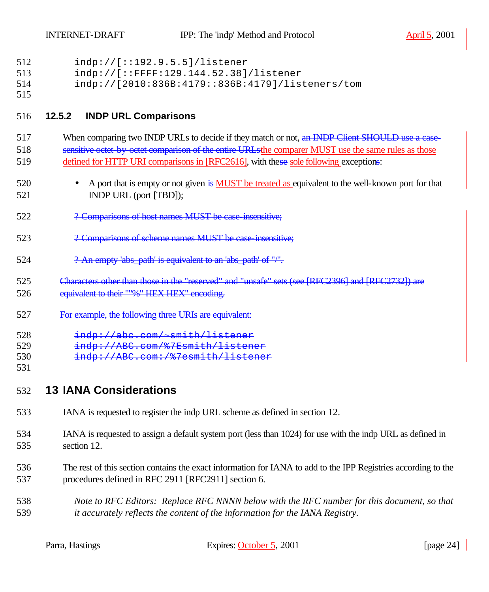| 512<br>513<br>514<br>515 | indp://[::192.9.5.5]/listener<br>indp://[::FFFF:129.144.52.38]/listener<br>indp://[2010:836B:4179::836B:4179]/listeners/tom                                                                                                                                                                    |
|--------------------------|------------------------------------------------------------------------------------------------------------------------------------------------------------------------------------------------------------------------------------------------------------------------------------------------|
| 516                      | <b>INDP URL Comparisons</b><br>12.5.2                                                                                                                                                                                                                                                          |
| 517<br>518<br>519        | When comparing two INDP URLs to decide if they match or not, an INDP Client SHOULD use a case-<br>sensitive octet by octet comparison of the entire URLs the comparer MUST use the same rules as those<br>defined for HTTP URI comparisons in [RFC2616], with these sole following exceptions: |
| 520<br>521               | A port that is empty or not given is MUST be treated as equivalent to the well-known port for that<br>$\bullet$<br>INDP URL (port [TBD]);                                                                                                                                                      |
| 522                      | ? Comparisons of host names MUST be case insensitive;                                                                                                                                                                                                                                          |
| 523                      | ? Comparisons of scheme names MUST be case insensitive;                                                                                                                                                                                                                                        |
| 524                      | ? An empty 'abs_path' is equivalent to an 'abs_path' of "/".                                                                                                                                                                                                                                   |
| 525<br>526               | Characters other than those in the "reserved" and "unsafe" sets (see [RFC2396] and [RFC2732]) are<br>equivalent to their ""%" HEX HEX" encoding.                                                                                                                                               |
| 527                      | For example, the following three URIs are equivalent:                                                                                                                                                                                                                                          |
| 528<br>529<br>530<br>531 | indp://abe.com/~smith/listener<br>indp://ABC.com/%7Esmith/listener<br>indp://ABC.com:/%7esmith/listener                                                                                                                                                                                        |
| 532                      | <b>13 IANA Considerations</b>                                                                                                                                                                                                                                                                  |
| 533                      | IANA is requested to register the indp URL scheme as defined in section 12.                                                                                                                                                                                                                    |
| 534<br>535               | IANA is requested to assign a default system port (less than 1024) for use with the indp URL as defined in<br>section 12.                                                                                                                                                                      |
| 536<br>537               | The rest of this section contains the exact information for IANA to add to the IPP Registries according to the<br>procedures defined in RFC 2911 [RFC2911] section 6.                                                                                                                          |
| 538<br>539               | Note to RFC Editors: Replace RFC NNNN below with the RFC number for this document, so that<br>it accurately reflects the content of the information for the IANA Registry.                                                                                                                     |
|                          |                                                                                                                                                                                                                                                                                                |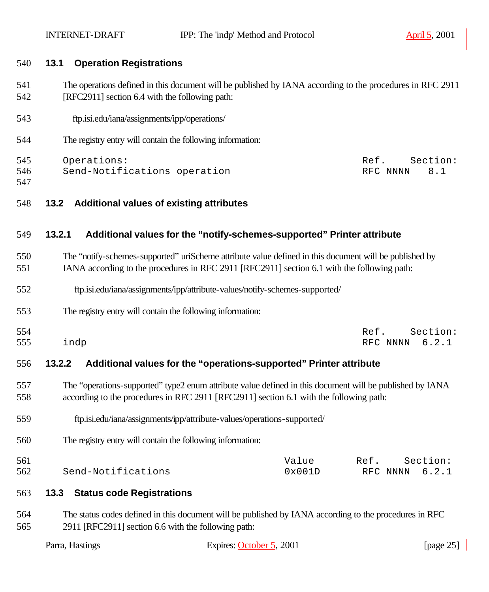| 540               | <b>Operation Registrations</b><br>13.1                                                                                                                                                                |                                                                         |                                       |
|-------------------|-------------------------------------------------------------------------------------------------------------------------------------------------------------------------------------------------------|-------------------------------------------------------------------------|---------------------------------------|
| 541<br>542        | The operations defined in this document will be published by IANA according to the procedures in RFC 2911<br>[RFC2911] section 6.4 with the following path:                                           |                                                                         |                                       |
| 543               | ftp.isi.edu/iana/assignments/ipp/operations/                                                                                                                                                          |                                                                         |                                       |
| 544               | The registry entry will contain the following information:                                                                                                                                            |                                                                         |                                       |
| 545<br>546<br>547 | Operations:<br>Send-Notifications operation                                                                                                                                                           |                                                                         | Section:<br>Ref.<br>8.1<br>RFC NNNN   |
| 548               | 13.2                                                                                                                                                                                                  | <b>Additional values of existing attributes</b>                         |                                       |
| 549               | 13.2.1                                                                                                                                                                                                | Additional values for the "notify-schemes-supported" Printer attribute  |                                       |
| 550<br>551        | The "notify-schemes-supported" uriScheme attribute value defined in this document will be published by<br>IANA according to the procedures in RFC 2911 [RFC2911] section 6.1 with the following path: |                                                                         |                                       |
| 552               | ftp.isi.edu/iana/assignments/ipp/attribute-values/notify-schemes-supported/                                                                                                                           |                                                                         |                                       |
| 553               | The registry entry will contain the following information:                                                                                                                                            |                                                                         |                                       |
| 554<br>555        | indp                                                                                                                                                                                                  |                                                                         | Section:<br>Ref.<br>6.2.1<br>RFC NNNN |
| 556               | 13.2.2                                                                                                                                                                                                | Additional values for the "operations-supported" Printer attribute      |                                       |
| 557<br>558        | The "operations-supported" type2 enum attribute value defined in this document will be published by IANA<br>according to the procedures in RFC 2911 [RFC2911] section 6.1 with the following path:    |                                                                         |                                       |
| 559               |                                                                                                                                                                                                       | ftp.isi.edu/iana/assignments/ipp/attribute-values/operations-supported/ |                                       |
| 560               | The registry entry will contain the following information:                                                                                                                                            |                                                                         |                                       |
| 561<br>562        | Send-Notifications                                                                                                                                                                                    | Value<br>0x001D                                                         | Section:<br>Ref.<br>6.2.1<br>RFC NNNN |
| 563               | <b>Status code Registrations</b><br>13.3                                                                                                                                                              |                                                                         |                                       |
| 564<br>565        | The status codes defined in this document will be published by IANA according to the procedures in RFC<br>2911 [RFC2911] section 6.6 with the following path:                                         |                                                                         |                                       |
|                   | Parra, Hastings                                                                                                                                                                                       | Expires: October 5, 2001                                                | [page $25$ ]                          |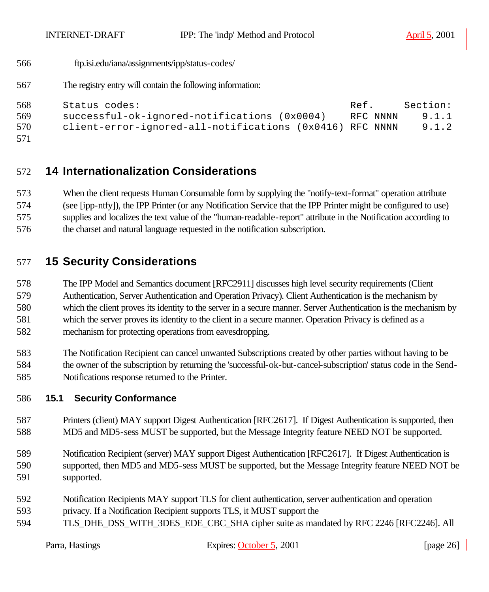INTERNET-DRAFT IPP: The 'indp' Method and Protocol April 5, 2001

```
566 ftp.isi.edu/iana/assignments/ipp/status-codes/
```
The registry entry will contain the following information:

```
568 Status codes: Ref. Section:
569 successful-ok-ignored-notifications (0x0004) RFC NNNN 9.1.1
570 client-error-ignored-all-notifications (0x0416) RFC NNNN 9.1.2
```

```
571
```
# **14 Internationalization Considerations**

 When the client requests Human Consumable form by supplying the "notify-text-format" operation attribute (see [ipp-ntfy]), the IPP Printer (or any Notification Service that the IPP Printer might be configured to use) supplies and localizes the text value of the "human-readable-report" attribute in the Notification according to the charset and natural language requested in the notification subscription.

# **15 Security Considerations**

 The IPP Model and Semantics document [RFC2911] discusses high level security requirements (Client Authentication, Server Authentication and Operation Privacy). Client Authentication is the mechanism by which the client proves its identity to the server in a secure manner. Server Authentication is the mechanism by which the server proves its identity to the client in a secure manner. Operation Privacy is defined as a mechanism for protecting operations from eavesdropping.

 The Notification Recipient can cancel unwanted Subscriptions created by other parties without having to be the owner of the subscription by returning the 'successful-ok-but-cancel-subscription' status code in the Send-Notifications response returned to the Printer.

### **15.1 Security Conformance**

- Printers (client) MAY support Digest Authentication [RFC2617]. If Digest Authentication is supported, then MD5 and MD5-sess MUST be supported, but the Message Integrity feature NEED NOT be supported.
- Notification Recipient (server) MAY support Digest Authentication [RFC2617]. If Digest Authentication is supported, then MD5 and MD5-sess MUST be supported, but the Message Integrity feature NEED NOT be supported.
- Notification Recipients MAY support TLS for client authentication, server authentication and operation
- privacy. If a Notification Recipient supports TLS, it MUST support the
- 594 TLS DHE DSS WITH 3DES EDE CBC SHA cipher suite as mandated by RFC 2246 [RFC2246]. All

|  | arra, Hastings |  |
|--|----------------|--|
|--|----------------|--|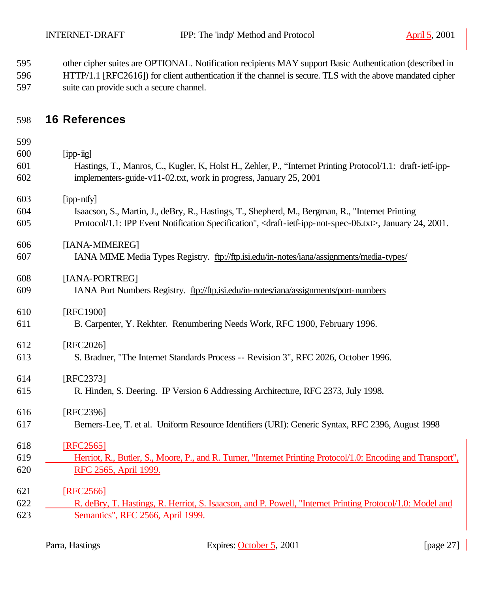| 595 | other cipher suites are OPTIONAL. Notification recipients MAY support Basic Authentication (described in   |
|-----|------------------------------------------------------------------------------------------------------------|
| 596 | HTTP/1.1 [RFC2616]) for client authentication if the channel is secure. TLS with the above mandated cipher |
| 597 | suite can provide such a secure channel.                                                                   |

# **16 References**

| 600 | $[$ ipp- $\ddot{u}$ g]                                                                                                                    |
|-----|-------------------------------------------------------------------------------------------------------------------------------------------|
| 601 | Hastings, T., Manros, C., Kugler, K., Holst H., Zehler, P., "Internet Printing Protocol/1.1: draft-ietf-ipp-                              |
| 602 | implementers-guide-v11-02.txt, work in progress, January 25, 2001                                                                         |
| 603 | [ipp-ntfy]                                                                                                                                |
| 604 | Isaacson, S., Martin, J., deBry, R., Hastings, T., Shepherd, M., Bergman, R., "Internet Printing                                          |
| 605 | Protocol/1.1: IPP Event Notification Specification", <draft-ietf-ipp-not-spec-06.txt>, January 24, 2001.</draft-ietf-ipp-not-spec-06.txt> |
| 606 | [IANA-MIMEREG]                                                                                                                            |
| 607 | IANA MIME Media Types Registry. ftp://ftp.isi.edu/in-notes/iana/assignments/media-types/                                                  |
| 608 | [IANA-PORTREG]                                                                                                                            |
| 609 | IANA Port Numbers Registry. ftp://ftp.isi.edu/in-notes/iana/assignments/port-numbers                                                      |
| 610 | [RFC1900]                                                                                                                                 |
| 611 | B. Carpenter, Y. Rekhter. Renumbering Needs Work, RFC 1900, February 1996.                                                                |
| 612 | [RFC2026]                                                                                                                                 |
| 613 | S. Bradner, "The Internet Standards Process -- Revision 3", RFC 2026, October 1996.                                                       |
| 614 | [RFC2373]                                                                                                                                 |
| 615 | R. Hinden, S. Deering. IP Version 6 Addressing Architecture, RFC 2373, July 1998.                                                         |
| 616 | [RFC2396]                                                                                                                                 |
| 617 | Berners-Lee, T. et al. Uniform Resource Identifiers (URI): Generic Syntax, RFC 2396, August 1998                                          |
| 618 | [RFC2565]                                                                                                                                 |
| 619 | Herriot, R., Butler, S., Moore, P., and R. Turner, "Internet Printing Protocol/1.0: Encoding and Transport",                              |
| 620 | RFC 2565, April 1999.                                                                                                                     |
| 621 | [RFC2566]                                                                                                                                 |
| 622 | R. deBry, T. Hastings, R. Herriot, S. Isaacson, and P. Powell, "Internet Printing Protocol/1.0: Model and                                 |
| 623 | Semantics", RFC 2566, April 1999.                                                                                                         |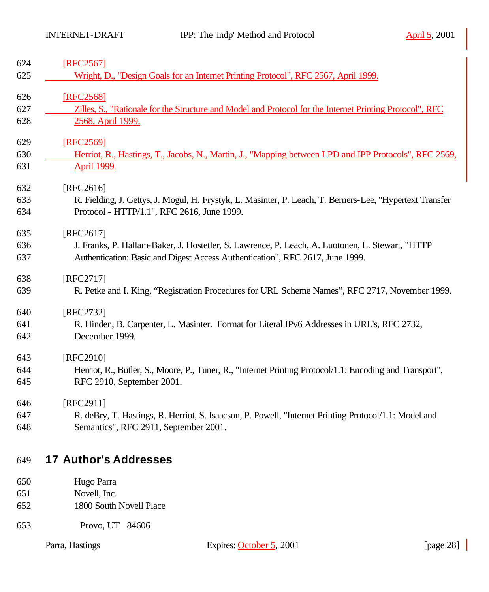| 624 | [RFC2567]                                                                                                |
|-----|----------------------------------------------------------------------------------------------------------|
| 625 | Wright, D., "Design Goals for an Internet Printing Protocol", RFC 2567, April 1999.                      |
| 626 | [RFC2568]                                                                                                |
| 627 | Zilles, S., "Rationale for the Structure and Model and Protocol for the Internet Printing Protocol", RFC |
| 628 | 2568, April 1999.                                                                                        |
| 629 | [RFC2569]                                                                                                |
| 630 | Herriot, R., Hastings, T., Jacobs, N., Martin, J., "Mapping between LPD and IPP Protocols", RFC 2569,    |
| 631 | <b>April 1999.</b>                                                                                       |
| 632 | [RFC2616]                                                                                                |
| 633 | R. Fielding, J. Gettys, J. Mogul, H. Frystyk, L. Masinter, P. Leach, T. Berners-Lee, "Hypertext Transfer |
| 634 | Protocol - HTTP/1.1", RFC 2616, June 1999.                                                               |
| 635 | [RFC2617]                                                                                                |
| 636 | J. Franks, P. Hallam-Baker, J. Hostetler, S. Lawrence, P. Leach, A. Luotonen, L. Stewart, "HTTP          |
| 637 | Authentication: Basic and Digest Access Authentication", RFC 2617, June 1999.                            |
| 638 | [RFC2717]                                                                                                |
| 639 | R. Petke and I. King, "Registration Procedures for URL Scheme Names", RFC 2717, November 1999.           |
| 640 | [RFC2732]                                                                                                |
| 641 | R. Hinden, B. Carpenter, L. Masinter. Format for Literal IPv6 Addresses in URL's, RFC 2732,              |
| 642 | December 1999.                                                                                           |
| 643 | [RFC2910]                                                                                                |
| 644 | Herriot, R., Butler, S., Moore, P., Tuner, R., "Internet Printing Protocol/1.1: Encoding and Transport", |
| 645 | RFC 2910, September 2001.                                                                                |
| 646 | [RFC2911]                                                                                                |
| 647 | R. deBry, T. Hastings, R. Herriot, S. Isaacson, P. Powell, "Internet Printing Protocol/1.1: Model and    |
| 648 | Semantics", RFC 2911, September 2001.                                                                    |
|     |                                                                                                          |

# **17 Author's Addresses**

- Hugo Parra
- Novell, Inc.
- 1800 South Novell Place
- Provo, UT 84606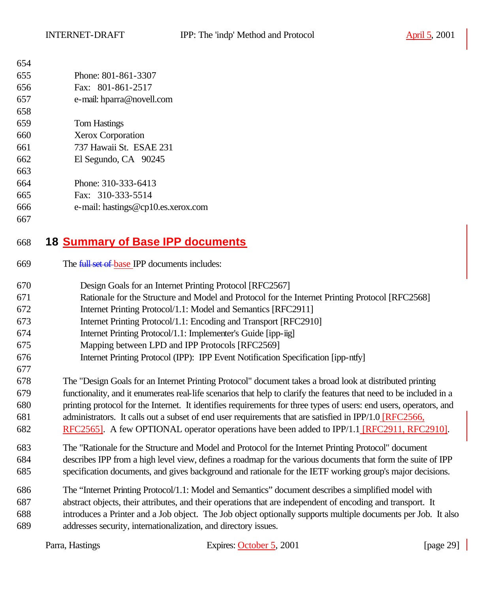| 654 |                     |
|-----|---------------------|
| 655 | Phone: 801-861-3307 |
|     |                     |

- Fax: 801-861-2517
- e-mail: hparra@novell.com
- Tom Hastings
- Xerox Corporation
- 737 Hawaii St. ESAE 231
- El Segundo, CA 90245
- 
- Phone: 310-333-6413
- Fax: 310-333-5514
- e-mail: hastings@cp10.es.xerox.com
- 

# **18 Summary of Base IPP documents**

- The full set of base IPP documents includes:
- Design Goals for an Internet Printing Protocol [RFC2567]
- Rationale for the Structure and Model and Protocol for the Internet Printing Protocol [RFC2568]
- Internet Printing Protocol/1.1: Model and Semantics [RFC2911]
- Internet Printing Protocol/1.1: Encoding and Transport [RFC2910]
- Internet Printing Protocol/1.1: Implementer's Guide [ipp-iig]
- Mapping between LPD and IPP Protocols [RFC2569]
- Internet Printing Protocol (IPP): IPP Event Notification Specification [ipp-ntfy]
- The "Design Goals for an Internet Printing Protocol" document takes a broad look at distributed printing
- functionality, and it enumerates real-life scenarios that help to clarify the features that need to be included in a printing protocol for the Internet. It identifies requirements for three types of users: end users, operators, and
- administrators. It calls out a subset of end user requirements that are satisfied in IPP/1.0 [RFC2566,
- 682 RFC2565]. A few OPTIONAL operator operations have been added to IPP/1.1 [RFC2911, RFC2910].
- The "Rationale for the Structure and Model and Protocol for the Internet Printing Protocol" document describes IPP from a high level view, defines a roadmap for the various documents that form the suite of IPP specification documents, and gives background and rationale for the IETF working group's major decisions.
- The "Internet Printing Protocol/1.1: Model and Semantics" document describes a simplified model with abstract objects, their attributes, and their operations that are independent of encoding and transport. It introduces a Printer and a Job object. The Job object optionally supports multiple documents per Job. It also addresses security, internationalization, and directory issues.

| Parra, Hastings | Expires: October 5, 2001 | [page $29$ ] |
|-----------------|--------------------------|--------------|
|                 |                          |              |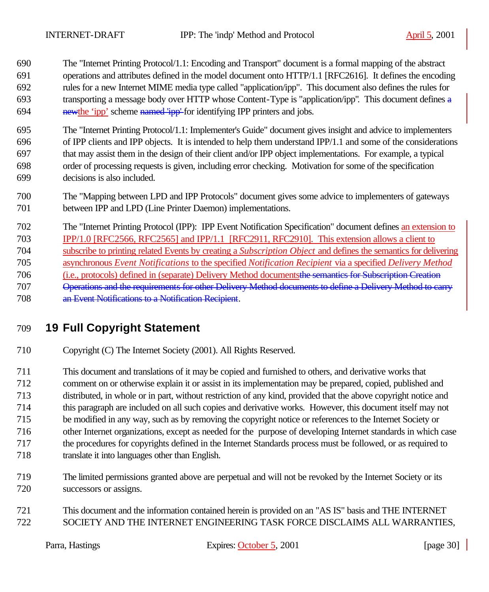The "Internet Printing Protocol/1.1: Encoding and Transport" document is a formal mapping of the abstract operations and attributes defined in the model document onto HTTP/1.1 [RFC2616]. It defines the encoding rules for a new Internet MIME media type called "application/ipp". This document also defines the rules for transporting a message body over HTTP whose Content-Type is "application/ipp". This document defines a 694 newthe 'ipp' scheme named 'ipp' for identifying IPP printers and jobs.

 The "Internet Printing Protocol/1.1: Implementer's Guide" document gives insight and advice to implementers of IPP clients and IPP objects. It is intended to help them understand IPP/1.1 and some of the considerations that may assist them in the design of their client and/or IPP object implementations. For example, a typical order of processing requests is given, including error checking. Motivation for some of the specification decisions is also included.

 The "Mapping between LPD and IPP Protocols" document gives some advice to implementers of gateways between IPP and LPD (Line Printer Daemon) implementations.

 The "Internet Printing Protocol (IPP): IPP Event Notification Specification" document defines an extension to IPP/1.0 [RFC2566, RFC2565] and IPP/1.1 [RFC2911, RFC2910]. This extension allows a client to subscribe to printing related Events by creating a *Subscription Object* and defines the semantics for delivering asynchronous *Event Notifications* to the specified *Notification Recipient* via a specified *Delivery Method* (i.e., protocols) defined in (separate) Delivery Method documentsthe semantics for Subscription Creation Operations and the requirements for other Delivery Method documents to define a Delivery Method to carry an Event Notifications to a Notification Recipient.

# **19 Full Copyright Statement**

Copyright (C) The Internet Society (2001). All Rights Reserved.

 This document and translations of it may be copied and furnished to others, and derivative works that comment on or otherwise explain it or assist in its implementation may be prepared, copied, published and distributed, in whole or in part, without restriction of any kind, provided that the above copyright notice and this paragraph are included on all such copies and derivative works. However, this document itself may not be modified in any way, such as by removing the copyright notice or references to the Internet Society or other Internet organizations, except as needed for the purpose of developing Internet standards in which case the procedures for copyrights defined in the Internet Standards process must be followed, or as required to translate it into languages other than English.

- The limited permissions granted above are perpetual and will not be revoked by the Internet Society or its successors or assigns.
- This document and the information contained herein is provided on an "AS IS" basis and THE INTERNET SOCIETY AND THE INTERNET ENGINEERING TASK FORCE DISCLAIMS ALL WARRANTIES,